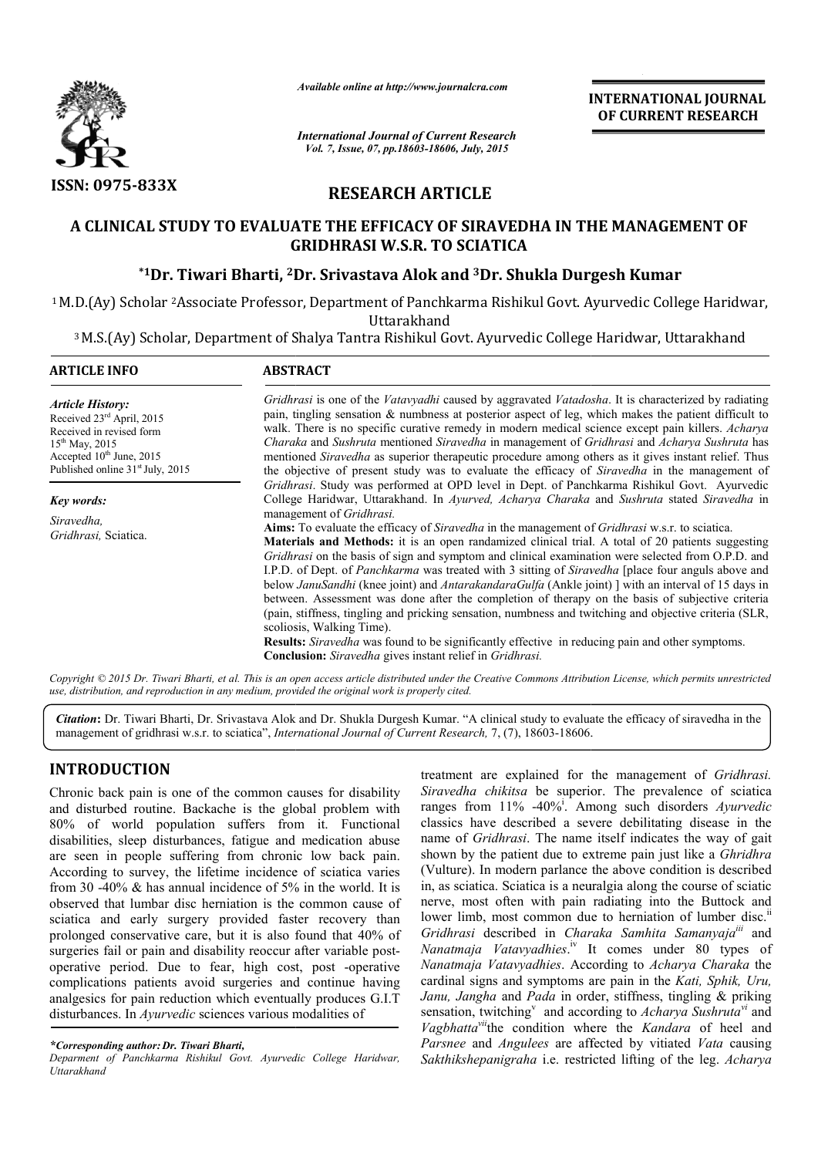

*Available online at http://www.journalcra.com*

*International Journal of Current Research Vol. 7, Issue, 07, pp.18603-18606, July, 2015*

**INTERNATIONAL INTERNATIONAL JOURNAL OF CURRENT RESEARCH** 

# **RESEARCH ARTICLE**

## A CLINICAL STUDY TO EVALUATE THE EFFICACY OF SIRAVEDHA IN THE MANAGEMENT OF **GRIDHRASI W.S.R. TO SCIATICA**

## $^{\ast}$ 1Dr. Tiwari Bharti, <sup>2</sup>Dr. Srivastava Alok and <sup>3</sup>Dr. Shukla Durgesh Kumar

<sup>1</sup> M.D.(Ay) Scholar <sup>2</sup>Associate Professor, Department of Panchkarma Rishikul Govt. Ayurvedic College Haridwar,<br>Uttarakhand

<sup>3</sup> M.S.(Ay) Scholar, Department of Shalya Tantra Rishikul Govt. Ayurvedic College Haridwar, Uttarakhand

| <b>ARTICLE INFO</b>                                                                                                                                                                                  | <b>ABSTRACT</b>                                                                                                                                                                                                                                                                                                                                                                                                                                                                                                                                                                                                                                                                                                                                                                                                                                                                                                                                                                |  |  |  |  |  |  |
|------------------------------------------------------------------------------------------------------------------------------------------------------------------------------------------------------|--------------------------------------------------------------------------------------------------------------------------------------------------------------------------------------------------------------------------------------------------------------------------------------------------------------------------------------------------------------------------------------------------------------------------------------------------------------------------------------------------------------------------------------------------------------------------------------------------------------------------------------------------------------------------------------------------------------------------------------------------------------------------------------------------------------------------------------------------------------------------------------------------------------------------------------------------------------------------------|--|--|--|--|--|--|
| <b>Article History:</b><br>Received 23 <sup>rd</sup> April, 2015<br>Received in revised form<br>$15^{th}$ May, 2015<br>Accepted $10^{th}$ June, 2015<br>Published online 31 <sup>st</sup> July, 2015 | Gridhrasi is one of the Vatavyadhi caused by aggravated Vatadosha. It is characterized by radiating<br>pain, tingling sensation $\&$ numbness at posterior aspect of leg, which makes the patient difficult to<br>walk. There is no specific curative remedy in modern medical science except pain killers. Acharya<br>Charaka and Sushruta mentioned Siravedha in management of Gridhrasi and Acharya Sushruta has<br>mentioned Siravedha as superior therapeutic procedure among others as it gives instant relief. Thus<br>the objective of present study was to evaluate the efficacy of <i>Siravedha</i> in the management of<br>Gridhrasi. Study was performed at OPD level in Dept. of Panchkarma Rishikul Govt. Ayurvedic                                                                                                                                                                                                                                              |  |  |  |  |  |  |
| <b>Key words:</b>                                                                                                                                                                                    | College Haridwar, Uttarakhand. In Ayurved, Acharya Charaka and Sushruta stated Siravedha in                                                                                                                                                                                                                                                                                                                                                                                                                                                                                                                                                                                                                                                                                                                                                                                                                                                                                    |  |  |  |  |  |  |
| Siravedha,<br>Gridhrasi, Sciatica.                                                                                                                                                                   | management of Gridhrasi.<br>Aims: To evaluate the efficacy of Siravedha in the management of Gridhrasi w.s.r. to sciatica.<br><b>Materials and Methods:</b> it is an open randamized clinical trial. A total of 20 patients suggesting<br>Gridhrasi on the basis of sign and symptom and clinical examination were selected from O.P.D. and<br>I.P.D. of Dept. of Panchkarma was treated with 3 sitting of Siravedha [place four anguls above and<br>below JanuSandhi (knee joint) and AntarakandaraGulfa (Ankle joint) with an interval of 15 days in<br>between. Assessment was done after the completion of therapy on the basis of subjective criteria<br>(pain, stiffness, tingling and pricking sensation, numbness and twitching and objective criteria (SLR,<br>scoliosis, Walking Time).<br><b>Results:</b> Siravedha was found to be significantly effective in reducing pain and other symptoms.<br><b>Conclusion:</b> Siravedha gives instant relief in Gridhrasi. |  |  |  |  |  |  |

*Copyright © 2015 Dr. Tiwari Bharti, et al. This is an open access article distributed under the Creative Commons Att Attribution License, which ribution permits unrestricted use, distribution, and reproduction in any medium, provided the original work is properly cited.*

Citation: Dr. Tiwari Bharti, Dr. Srivastava Alok and Dr. Shukla Durgesh Kumar. "A clinical study to evaluate the efficacy of siravedha in the management of gridhrasi w.s.r. to sciatica", *International Journal of Current R* management of gridhrasi w.s.r. to sciatica", *International Journal of Current Research*, 7, (7), 18603-18606.

## **INTRODUCTION**

Chronic back pain is one of the common causes for disability and disturbed routine. Backache is the global problem with 80% of world population suffers from it. Functional disabilities, sleep disturbances, fatigue and medication abuse are seen in people suffering from chronic low back pain. According to survey, the lifetime incidence of sciatica varies from 30 -40% & has annual incidence of 5% in the world. It is observed that lumbar disc herniation is the common cause of sciatica and early surgery provided faster recovery than prolonged conservative care, but it is also found that 40% of surgeries fail or pain and disability reoccur after variable postoperative period. Due to fear, high cost, post -operative complications patients avoid surgeries and continue having analgesics for pain reduction which eventually produces G.I.T disturbances. In *Ayurvedic* sciences various modalities of 0 -40% & has annual incidence of 5% in the world. It is<br>ed that lumbar disc herniation is the common cause of<br>a and early surgery provided faster recovery than<br>ged conservative care, but it is also found that 40% of<br>es fa

treatment are explained for the management of *Gridhrasi*. Siravedha chikitsa be superior. The prevalence of sciatica ranges from 11% -40%<sup>i</sup>. Among such disorders Ayurvedic classics have described a severe debilitating disease in the name of *Gridhrasi*. The name itself indicates the way of gait classics have described a severe debilitating disease in the name of *Gridhrasi*. The name itself indicates the way of gait shown by the patient due to extreme pain just like a *Ghridhra* (Vulture). In modern parlance the above condition is described in, as sciatica. Sciatica is a neuralgia along the course of sciatic nerve, most often with pain radiating into the Buttock and lower limb, most common due to herniation of lumber disc.<sup>ii</sup> Gridhrasi described in *Charaka Samhita Samanyaja<sup>iii</sup>* and Nanatmaja Vatavyadhies.<sup>iv</sup> It comes under 80 types of *Nanatmaja Vatavyadhies*. According to *Acharya Charaka* the cardinal signs and symptoms are pain in the Kati, Sphik, Uru, Janu, Jangha and Pada in order, stiffness, tingling & priking sensation, twitching<sup>v</sup> and according to Acharya Sushruta<sup>vi</sup> and Vagbhatta<sup>vii</sup>the condition where the *Kandara* of heel and Parsnee and *Angulees* are affected by vitiated Vata causing Sakthikshepanigraha *i.e.* restricted lifting of the leg. Acharya (Vulture). In modern parlance the above condition is describe<br>in, as sciatica. Sciatica is a neuralgia along the course of sciati<br>nerve, most often with pain radiating into the Buttock and<br>lower limb, most common due to he

*<sup>\*</sup>Corresponding author:Dr. Tiwari Bharti,*

*Deparment of Panchkarma Rishikul Govt. Ayurvedic College Haridwar, Uttarakhand*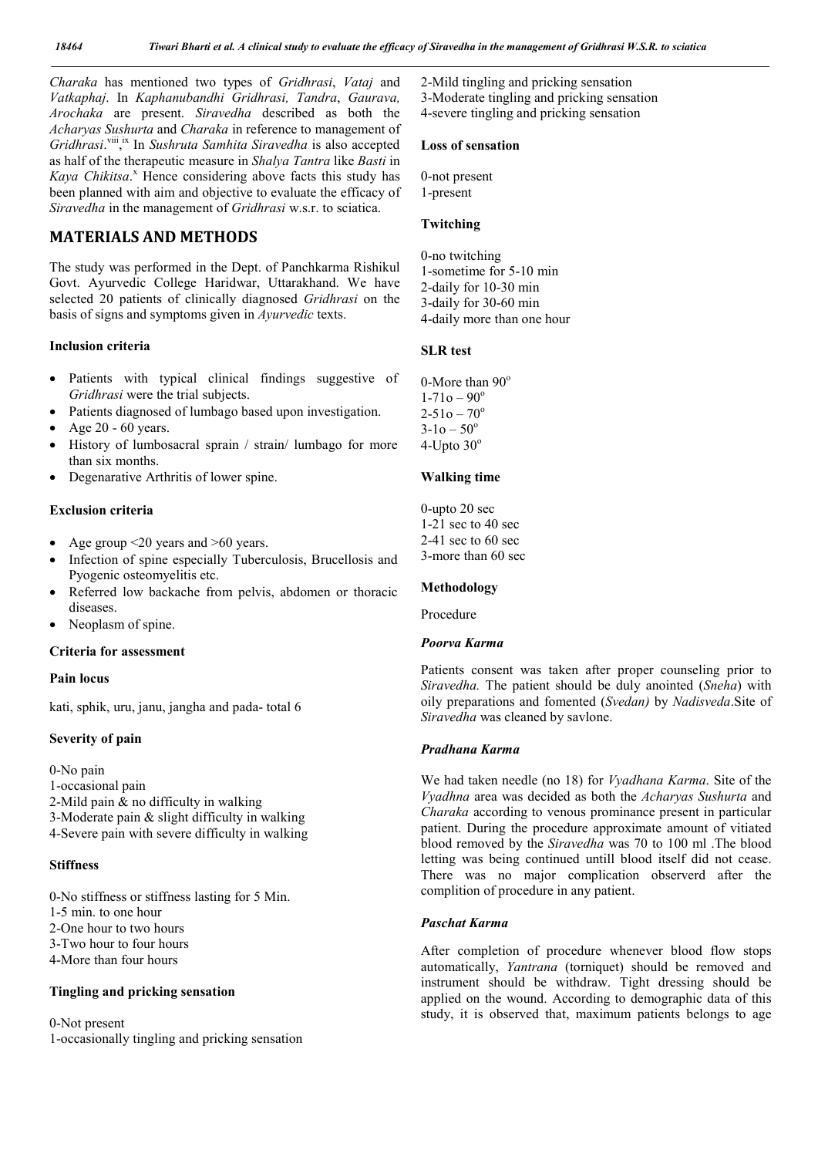*Charaka* has mentioned two types of *Gridhrasi*, *Vataj* and *Vatkaphaj*. In *Kaphanubandhi Gridhrasi, Tandra*, *Gaurava, Arochaka* are present. *Siravedha* described as both the *Acharyas Sushurta* and *Charaka* in reference to management of Gridhrasi.<sup>viii</sup>,<sup>x</sup> In *Sushruta Samhita Siravedha* is also accepted as half of the therapeutic measure in *Shalya Tantra* like *Basti* in Kaya Chikitsa.<sup>x</sup> Hence considering above facts this study has been planned with aim and objective to evaluate the efficacy of *Siravedha* in the management of *Gridhrasi* w.s.r. to sciatica.

## **MATERIALS AND METHODS**

The study was performed in the Dept. of Panchkarma Rishikul Govt. Ayurvedic College Haridwar, Uttarakhand. We have selected 20 patients of clinically diagnosed *Gridhrasi* on the basis of signs and symptoms given in *Ayurvedic* texts.

#### **Inclusion criteria**

- Patients with typical clinical findings suggestive of *Gridhrasi* were the trial subjects.
- Patients diagnosed of lumbago based upon investigation.
- Age 20 60 years.
- History of lumbosacral sprain / strain/ lumbago for more than six months.
- Degenarative Arthritis of lower spine.

#### **Exclusion criteria**

- Age group <20 years and >60 years.
- Infection of spine especially Tuberculosis, Brucellosis and Pyogenic osteomyelitis etc.
- Referred low backache from pelvis, abdomen or thoracic diseases.
- Neoplasm of spine.

#### **Criteria for assessment**

#### **Pain locus**

kati, sphik, uru, janu, jangha and pada- total 6

#### **Severity of pain**

0-No pain 1-occasional pain 2-Mild pain & no difficulty in walking 3-Moderate pain & slight difficulty in walking 4-Severe pain with severe difficulty in walking

### **Stiffness**

0-No stiffness or stiffness lasting for 5 Min. 1-5 min. to one hour 2-One hour to two hours 3-Two hour to four hours 4-More than four hours

#### **Tingling and pricking sensation**

0-Not present 1-occasionally tingling and pricking sensation 2-Mild tingling and pricking sensation 3-Moderate tingling and pricking sensation 4-severe tingling and pricking sensation

### **Loss of sensation**

0-not present 1-present

#### **Twitching**

0-no twitching 1-sometime for 5-10 min 2-daily for 10-30 min 3-daily for 30-60 min 4-daily more than one hour

#### **SLR test**

0-More than  $90^\circ$  $1 - 71$ o –  $90^\circ$  $2 - 51o - 70°$  $3-10-50^{\circ}$ 4-Upto  $30^\circ$ 

### **Walking time**

0-upto 20 sec 1-21 sec to 40 sec 2-41 sec to 60 sec 3-more than 60 sec

#### **Methodology**

Procedure

#### *Poorva Karma*

Patients consent was taken after proper counseling prior to *Siravedha.* The patient should be duly anointed (*Sneha*) with oily preparations and fomented (*Svedan)* by *Nadisveda*.Site of *Siravedha* was cleaned by savlone.

## *Pradhana Karma*

We had taken needle (no 18) for *Vyadhana Karma*. Site of the *Vyadhna* area was decided as both the *Acharyas Sushurta* and *Charaka* according to venous prominance present in particular patient. During the procedure approximate amount of vitiated blood removed by the *Siravedha* was 70 to 100 ml .The blood letting was being continued untill blood itself did not cease. There was no major complication observerd after the complition of procedure in any patient.

### *Paschat Karma*

After completion of procedure whenever blood flow stops automatically, *Yantrana* (torniquet) should be removed and instrument should be withdraw. Tight dressing should be applied on the wound. According to demographic data of this study, it is observed that, maximum patients belongs to age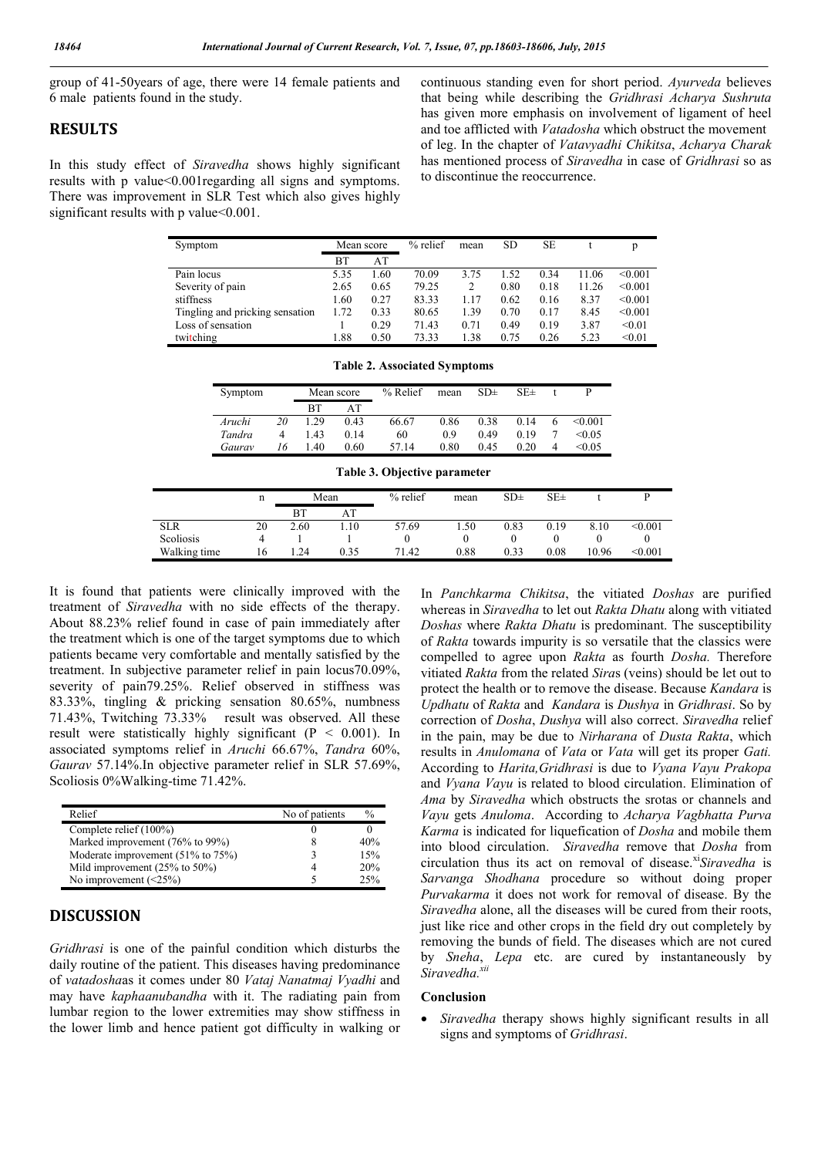group of 41-50years of age, there were 14 female patients and 6 male patients found in the study.

## **RESULTS**

In this study effect of *Siravedha* shows highly significant results with p value<0.001regarding all signs and symptoms. There was improvement in SLR Test which also gives highly significant results with p value<0.001.

continuous standing even for short period. *Ayurveda* believes that being while describing the *Gridhrasi Acharya Sushruta*  has given more emphasis on involvement of ligament of heel and toe afflicted with *Vatadosha* which obstruct the movement of leg. In the chapter of *Vatavyadhi Chikitsa*, *Acharya Charak*  has mentioned process of *Siravedha* in case of *Gridhrasi* so as to discontinue the reoccurrence.

| Symptom                         | Mean score |      | $%$ relief | mean | SD   | SE   |       | p       |
|---------------------------------|------------|------|------------|------|------|------|-------|---------|
|                                 | BT         | AT   |            |      |      |      |       |         |
| Pain locus                      | 5.35       | 1.60 | 70.09      | 3.75 | 1.52 | 0.34 | 11.06 | < 0.001 |
| Severity of pain                | 2.65       | 0.65 | 79.25      | 2    | 0.80 | 0.18 | 11.26 | < 0.001 |
| stiffness                       | l.60       | 0.27 | 83.33      | 1.17 | 0.62 | 0.16 | 8.37  | < 0.001 |
| Tingling and pricking sensation | 1.72       | 0.33 | 80.65      | 1.39 | 0.70 | 0.17 | 8.45  | < 0.001 |
| Loss of sensation               |            | 0.29 | 71.43      | 0.71 | 0.49 | 0.19 | 3.87  | < 0.01  |
| twitching                       | .88        | 0.50 | 73.33      | 1.38 | 0.75 | 0.26 | 5.23  | < 0.01  |

| Symptom |    | Mean score |      | % Relief | mean | SD <sub>±</sub> | $SE\pm$ |   |         |
|---------|----|------------|------|----------|------|-----------------|---------|---|---------|
|         |    | <b>BT</b>  | AТ   |          |      |                 |         |   |         |
| Aruchi  | 20 | 1 29       | 0.43 | 66.67    | 0.86 | 0.38            | 0.14    |   | < 0.001 |
| Tandra  | 4  | 1.43       | 0.14 | 60       | 0.9  | 0.49            | 0.19    |   | < 0.05  |
| Gaurav  | 16 | 40         | 0.60 | 57.14    | 0.80 | 0.45            | 0.20    | 4 | < 0.05  |

**Table 2. Associated Symptoms**

| Table 3. Objective parameter |    |           |      |            |          |                 |                 |       |         |
|------------------------------|----|-----------|------|------------|----------|-----------------|-----------------|-------|---------|
|                              | n  | Mean      |      | $%$ relief | mean     | SD <sub>±</sub> | SE <sub>±</sub> |       |         |
|                              |    | <b>BT</b> | AT   |            |          |                 |                 |       |         |
| <b>SLR</b>                   | 20 | 2.60      | .10  | 57.69      | 1.50     | 0.83            | 0.19            | 8.10  | < 0.001 |
| Scoliosis                    | 4  |           |      | $^{(1)}$   | $^{(1)}$ | $_{0}$          | 0               | 0     | $_{0}$  |
| Walking time                 | 16 | .24       | 0.35 | 71.42      | 0.88     | 0.33            | 0.08            | 10.96 | < 0.001 |

It is found that patients were clinically improved with the treatment of *Siravedha* with no side effects of the therapy. About 88.23% relief found in case of pain immediately after the treatment which is one of the target symptoms due to which patients became very comfortable and mentally satisfied by the treatment. In subjective parameter relief in pain locus70.09%, severity of pain79.25%. Relief observed in stiffness was 83.33%, tingling & pricking sensation 80.65%, numbness 71.43%, Twitching 73.33% result was observed. All these result were statistically highly significant ( $P < 0.001$ ). In associated symptoms relief in *Aruchi* 66.67%, *Tandra* 60%, *Gaurav* 57.14%.In objective parameter relief in SLR 57.69%, Scoliosis 0%Walking-time 71.42%.

| Relief                                     | No of patients | $\frac{0}{0}$ |
|--------------------------------------------|----------------|---------------|
| Complete relief (100%)                     |                |               |
| Marked improvement (76% to 99%)            | 8              | 40%           |
| Moderate improvement (51% to 75%)          |                | 15%           |
| Mild improvement $(25\% \text{ to } 50\%)$ | 4              | 20%           |
| No improvement $(\leq 25\%)$               |                | $2.5\%$       |

## **DISCUSSION**

*Gridhrasi* is one of the painful condition which disturbs the daily routine of the patient. This diseases having predominance of *vatadosha*as it comes under 80 *Vataj Nanatmaj Vyadhi* and may have *kaphaanubandha* with it. The radiating pain from lumbar region to the lower extremities may show stiffness in the lower limb and hence patient got difficulty in walking or In *Panchkarma Chikitsa*, the vitiated *Doshas* are purified whereas in *Siravedha* to let out *Rakta Dhatu* along with vitiated *Doshas* where *Rakta Dhatu* is predominant. The susceptibility of *Rakta* towards impurity is so versatile that the classics were compelled to agree upon *Rakta* as fourth *Dosha.* Therefore vitiated *Rakta* from the related *Sira*s (veins) should be let out to protect the health or to remove the disease. Because *Kandara* is *Updhatu* of *Rakta* and *Kandara* is *Dushya* in *Gridhrasi*. So by correction of *Dosha*, *Dushya* will also correct. *Siravedha* relief in the pain, may be due to *Nirharana* of *Dusta Rakta*, which results in *Anulomana* of *Vata* or *Vata* will get its proper *Gati.*  According to *Harita,Gridhrasi* is due to *Vyana Vayu Prakopa* and *Vyana Vayu* is related to blood circulation. Elimination of *Ama* by *Siravedha* which obstructs the srotas or channels and *Vayu* gets *Anuloma*. According to *Acharya Vagbhatta Purva Karma* is indicated for liquefication of *Dosha* and mobile them into blood circulation. *Siravedha* remove that *Dosha* from circulation thus its act on removal of disease.<sup>xi</sup>Siravedha is *Sarvanga Shodhana* procedure so without doing proper *Purvakarma* it does not work for removal of disease. By the *Siravedha* alone, all the diseases will be cured from their roots, just like rice and other crops in the field dry out completely by removing the bunds of field. The diseases which are not cured by *Sneha*, *Lepa* etc. are cured by instantaneously by Siravedha.<sup>x</sup>

#### **Conclusion**

 *Siravedha* therapy shows highly significant results in all signs and symptoms of *Gridhrasi*.